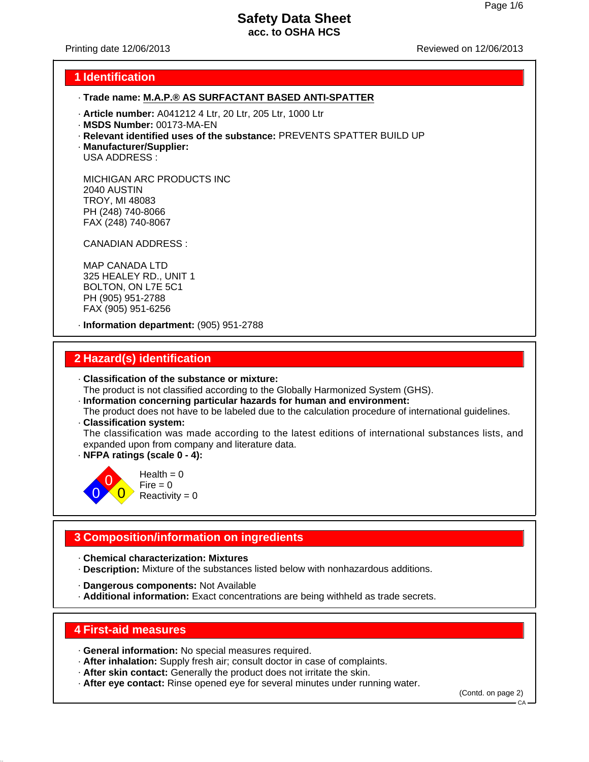Printing date 12/06/2013 Reviewed on 12/06/2013

### **1 Identification**

### · **Trade name: M.A.P.® AS SURFACTANT BASED ANTI-SPATTER**

- · **Article number:** A041212 4 Ltr, 20 Ltr, 205 Ltr, 1000 Ltr
- · **MSDS Number:** 00173-MA-EN
- · **Relevant identified uses of the substance:** PREVENTS SPATTER BUILD UP
- · **Manufacturer/Supplier:** USA ADDRESS :

MICHIGAN ARC PRODUCTS INC 2040 AUSTIN TROY, MI 48083 PH (248) 740-8066 FAX (248) 740-8067

CANADIAN ADDRESS :

MAP CANADA LTD 325 HEALEY RD., UNIT 1 BOLTON, ON L7E 5C1 PH (905) 951-2788 FAX (905) 951-6256

· **Information department:** (905) 951-2788

### **2 Hazard(s) identification**

· **Classification of the substance or mixture:**

The product is not classified according to the Globally Harmonized System (GHS).

- · **Information concerning particular hazards for human and environment:**
- The product does not have to be labeled due to the calculation procedure of international guidelines. · **Classification system:**

The classification was made according to the latest editions of international substances lists, and expanded upon from company and literature data.

· **NFPA ratings (scale 0 - 4):**



 $Health = 0$  $Fire = 0$  $Reactivity = 0$ 

# **3 Composition/information on ingredients**

· **Chemical characterization: Mixtures**

- · **Description:** Mixture of the substances listed below with nonhazardous additions.
- · **Dangerous components:** Not Available
- · **Additional information:** Exact concentrations are being withheld as trade secrets.

### **4 First-aid measures**

- · **General information:** No special measures required.
- · **After inhalation:** Supply fresh air; consult doctor in case of complaints.
- · **After skin contact:** Generally the product does not irritate the skin.
- · **After eye contact:** Rinse opened eye for several minutes under running water.

(Contd. on page 2)

CA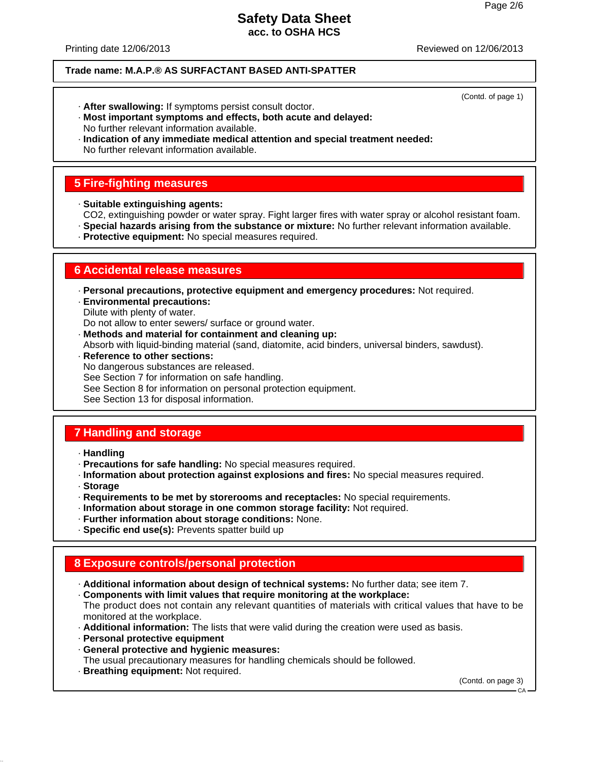(Contd. of page 1)

# **Safety Data Sheet acc. to OSHA HCS**

Printing date 12/06/2013 Reviewed on 12/06/2013

#### **Trade name: M.A.P.® AS SURFACTANT BASED ANTI-SPATTER**

- · **After swallowing:** If symptoms persist consult doctor.
- · **Most important symptoms and effects, both acute and delayed:** No further relevant information available.
- · **Indication of any immediate medical attention and special treatment needed:** No further relevant information available.

# **5 Fire-fighting measures**

- · **Suitable extinguishing agents:**
- CO2, extinguishing powder or water spray. Fight larger fires with water spray or alcohol resistant foam.
- · **Special hazards arising from the substance or mixture:** No further relevant information available.
- · **Protective equipment:** No special measures required.

### **6 Accidental release measures**

- · **Personal precautions, protective equipment and emergency procedures:** Not required.
- · **Environmental precautions:**
- Dilute with plenty of water.
- Do not allow to enter sewers/ surface or ground water.
- · **Methods and material for containment and cleaning up:**
- Absorb with liquid-binding material (sand, diatomite, acid binders, universal binders, sawdust). · **Reference to other sections:**
- No dangerous substances are released. See Section 7 for information on safe handling. See Section 8 for information on personal protection equipment. See Section 13 for disposal information.

# **7 Handling and storage**

- · **Handling**
- · **Precautions for safe handling:** No special measures required.
- · **Information about protection against explosions and fires:** No special measures required.
- · **Storage**
- · **Requirements to be met by storerooms and receptacles:** No special requirements.
- · **Information about storage in one common storage facility:** Not required.
- · **Further information about storage conditions:** None.
- · **Specific end use(s):** Prevents spatter build up

# **8 Exposure controls/personal protection**

- · **Additional information about design of technical systems:** No further data; see item 7.
- · **Components with limit values that require monitoring at the workplace:**
- The product does not contain any relevant quantities of materials with critical values that have to be monitored at the workplace.
- · **Additional information:** The lists that were valid during the creation were used as basis.
- · **Personal protective equipment**
- · **General protective and hygienic measures:**
- The usual precautionary measures for handling chemicals should be followed.
- · **Breathing equipment:** Not required.

(Contd. on page 3)

CA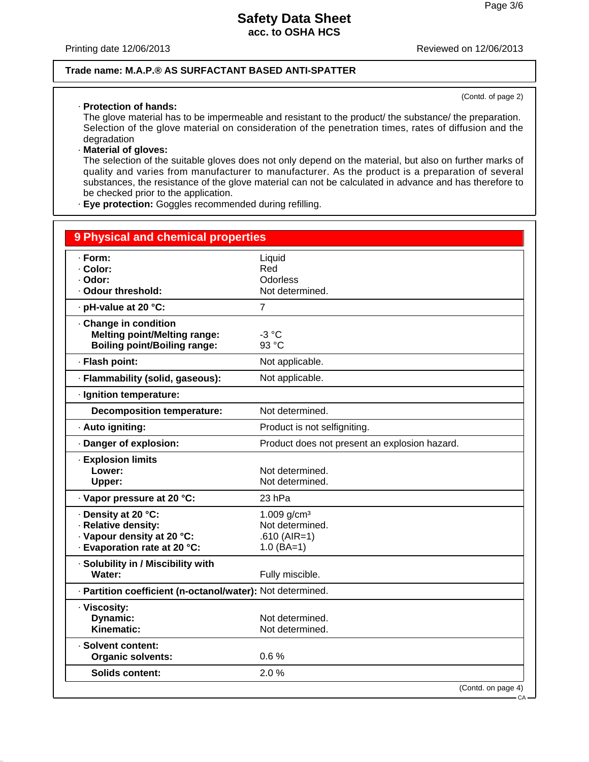Printing date 12/06/2013

### **Trade name: M.A.P.® AS SURFACTANT BASED ANTI-SPATTER**

#### · **Protection of hands:**

(Contd. of page 2)

The glove material has to be impermeable and resistant to the product/ the substance/ the preparation. Selection of the glove material on consideration of the penetration times, rates of diffusion and the degradation

#### · **Material of gloves:**

The selection of the suitable gloves does not only depend on the material, but also on further marks of quality and varies from manufacturer to manufacturer. As the product is a preparation of several substances, the resistance of the glove material can not be calculated in advance and has therefore to be checked prior to the application.

· **Eye protection:** Goggles recommended during refilling.

| <b>9 Physical and chemical properties</b>                                                                |                                                                     |
|----------------------------------------------------------------------------------------------------------|---------------------------------------------------------------------|
| · Form:<br>· Color:<br>· Odor:<br>· Odour threshold:                                                     | Liquid<br>Red<br>Odorless<br>Not determined.                        |
| · pH-value at 20 °C:                                                                                     | $\overline{7}$                                                      |
| Change in condition<br><b>Melting point/Melting range:</b><br><b>Boiling point/Boiling range:</b>        | $-3 °C$<br>93 °C                                                    |
| · Flash point:                                                                                           | Not applicable.                                                     |
| · Flammability (solid, gaseous):                                                                         | Not applicable.                                                     |
| · Ignition temperature:                                                                                  |                                                                     |
| <b>Decomposition temperature:</b>                                                                        | Not determined.                                                     |
| · Auto igniting:                                                                                         | Product is not selfigniting.                                        |
| · Danger of explosion:                                                                                   | Product does not present an explosion hazard.                       |
| <b>Explosion limits</b><br>Lower:<br>Upper:                                                              | Not determined.<br>Not determined.                                  |
| · Vapor pressure at 20 °C:                                                                               | 23 hPa                                                              |
| · Density at 20 °C:<br>· Relative density:<br>· Vapour density at 20 °C:<br>· Evaporation rate at 20 °C: | 1.009 $g/cm^3$<br>Not determined.<br>$.610$ (AIR=1)<br>$1.0$ (BA=1) |
| · Solubility in / Miscibility with<br>Water:                                                             | Fully miscible.                                                     |
| - Partition coefficient (n-octanol/water): Not determined.                                               |                                                                     |
| · Viscosity:<br>Dynamic:<br>Kinematic:                                                                   | Not determined.<br>Not determined.                                  |
| · Solvent content:<br><b>Organic solvents:</b>                                                           | 0.6%                                                                |
| <b>Solids content:</b>                                                                                   | 2.0%                                                                |
|                                                                                                          | (Contd. on page 4)                                                  |

CA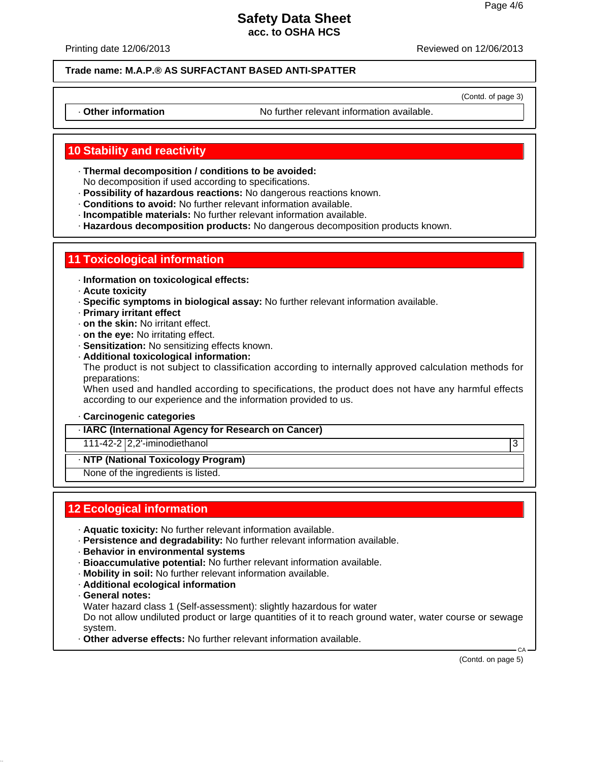Printing date 12/06/2013 Reviewed on 12/06/2013

**Trade name: M.A.P.® AS SURFACTANT BASED ANTI-SPATTER**

(Contd. of page 3)

· **Other information** No further relevant information available.

# **10 Stability and reactivity**

· **Thermal decomposition / conditions to be avoided:**

No decomposition if used according to specifications.

- · **Possibility of hazardous reactions:** No dangerous reactions known.
- · **Conditions to avoid:** No further relevant information available.
- · **Incompatible materials:** No further relevant information available.
- · **Hazardous decomposition products:** No dangerous decomposition products known.

### **11 Toxicological information**

- · **Information on toxicological effects:**
- · **Acute toxicity**
- · **Specific symptoms in biological assay:** No further relevant information available.
- · **Primary irritant effect**
- · **on the skin:** No irritant effect.
- · **on the eye:** No irritating effect.
- · **Sensitization:** No sensitizing effects known.
- · **Additional toxicological information:**

The product is not subject to classification according to internally approved calculation methods for preparations:

When used and handled according to specifications, the product does not have any harmful effects according to our experience and the information provided to us.

#### · **Carcinogenic categories**

· **IARC (International Agency for Research on Cancer)**

#### 111-42-2 2,2'-iminodiethanol 3

· **NTP (National Toxicology Program)**

None of the ingredients is listed.

# **12 Ecological information**

- · **Aquatic toxicity:** No further relevant information available.
- · **Persistence and degradability:** No further relevant information available.
- · **Behavior in environmental systems**
- · **Bioaccumulative potential:** No further relevant information available.
- · **Mobility in soil:** No further relevant information available.
- · **Additional ecological information**
- · **General notes:**

Water hazard class 1 (Self-assessment): slightly hazardous for water

Do not allow undiluted product or large quantities of it to reach ground water, water course or sewage system.

· **Other adverse effects:** No further relevant information available.

(Contd. on page 5)

CA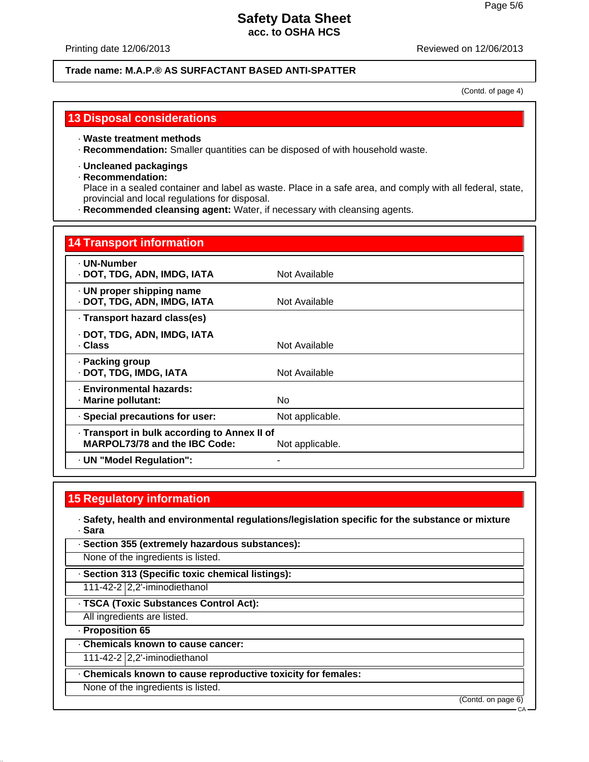#### Printing date 12/06/2013 Reviewed on 12/06/2013

#### **Trade name: M.A.P.® AS SURFACTANT BASED ANTI-SPATTER**

(Contd. of page 4)

### **13 Disposal considerations**

#### · **Waste treatment methods**

· **Recommendation:** Smaller quantities can be disposed of with household waste.

#### · **Uncleaned packagings**

### · **Recommendation:**

Place in a sealed container and label as waste. Place in a safe area, and comply with all federal, state, provincial and local regulations for disposal.

· **Recommended cleansing agent:** Water, if necessary with cleansing agents.

#### **14 Transport information**

| · UN-Number<br>· DOT, TDG, ADN, IMDG, IATA                                           | Not Available   |
|--------------------------------------------------------------------------------------|-----------------|
| · UN proper shipping name<br>· DOT, TDG, ADN, IMDG, IATA                             | Not Available   |
| · Transport hazard class(es)                                                         |                 |
| · DOT, TDG, ADN, IMDG, IATA<br>· Class                                               | Not Available   |
| · Packing group<br>· DOT, TDG, IMDG, IATA                                            | Not Available   |
| · Environmental hazards:<br>Marine pollutant:                                        | No              |
| · Special precautions for user:                                                      | Not applicable. |
| · Transport in bulk according to Annex II of<br><b>MARPOL73/78 and the IBC Code:</b> | Not applicable. |
| · UN "Model Regulation":                                                             |                 |

### **15 Regulatory information**

· **Safety, health and environmental regulations/legislation specific for the substance or mixture** · **Sara**

| · Section 355 (extremely hazardous substances):   |  |
|---------------------------------------------------|--|
| None of the ingredients is listed.                |  |
|                                                   |  |
| · Section 313 (Specific toxic chemical listings): |  |

· **TSCA (Toxic Substances Control Act):**

All ingredients are listed.

· **Proposition 65**

· **Chemicals known to cause cancer:**

111-42-2 2,2'-iminodiethanol

· **Chemicals known to cause reproductive toxicity for females:**

None of the ingredients is listed.

(Contd. on page 6)

CA